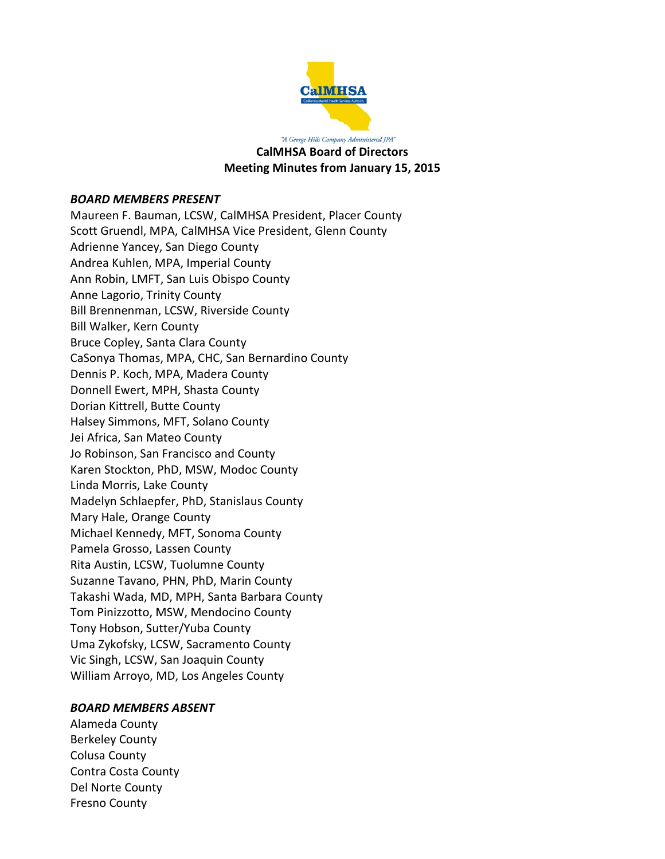

"A George Hills Company Administered JPA" **CalMHSA Board of Directors Meeting Minutes from January 15, 2015**

#### *BOARD MEMBERS PRESENT*

Maureen F. Bauman, LCSW, CalMHSA President, Placer County Scott Gruendl, MPA, CalMHSA Vice President, Glenn County Adrienne Yancey, San Diego County Andrea Kuhlen, MPA, Imperial County Ann Robin, LMFT, San Luis Obispo County Anne Lagorio, Trinity County Bill Brennenman, LCSW, Riverside County Bill Walker, Kern County Bruce Copley, Santa Clara County CaSonya Thomas, MPA, CHC, San Bernardino County Dennis P. Koch, MPA, Madera County Donnell Ewert, MPH, Shasta County Dorian Kittrell, Butte County Halsey Simmons, MFT, Solano County Jei Africa, San Mateo County Jo Robinson, San Francisco and County Karen Stockton, PhD, MSW, Modoc County Linda Morris, Lake County Madelyn Schlaepfer, PhD, Stanislaus County Mary Hale, Orange County Michael Kennedy, MFT, Sonoma County Pamela Grosso, Lassen County Rita Austin, LCSW, Tuolumne County Suzanne Tavano, PHN, PhD, Marin County Takashi Wada, MD, MPH, Santa Barbara County Tom Pinizzotto, MSW, Mendocino County Tony Hobson, Sutter/Yuba County Uma Zykofsky, LCSW, Sacramento County Vic Singh, LCSW, San Joaquin County William Arroyo, MD, Los Angeles County

#### *BOARD MEMBERS ABSENT*

Alameda County Berkeley County Colusa County Contra Costa County Del Norte County Fresno County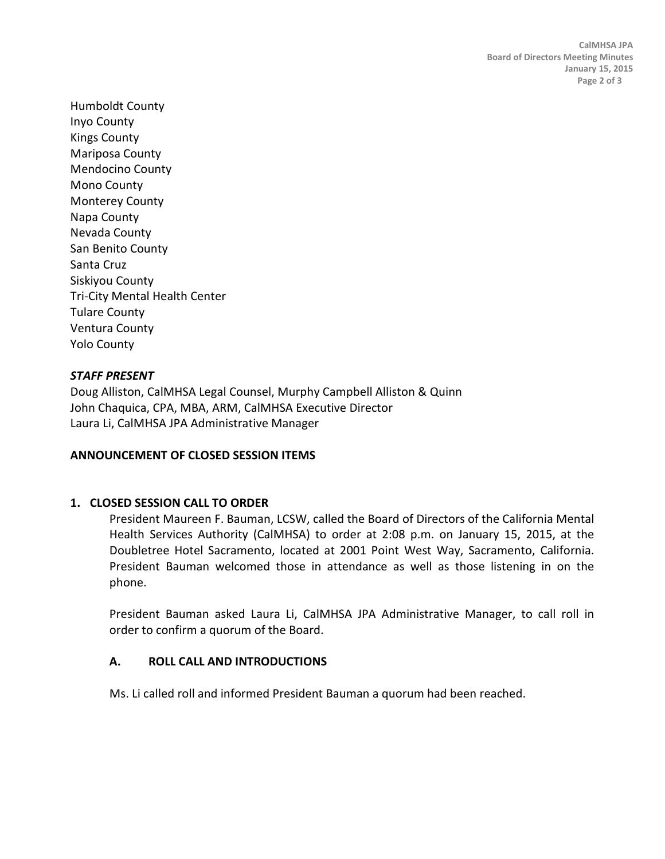Humboldt County Inyo County Kings County Mariposa County Mendocino County Mono County Monterey County Napa County Nevada County San Benito County Santa Cruz Siskiyou County Tri-City Mental Health Center Tulare County Ventura County Yolo County

## *STAFF PRESENT*

Doug Alliston, CalMHSA Legal Counsel, Murphy Campbell Alliston & Quinn John Chaquica, CPA, MBA, ARM, CalMHSA Executive Director Laura Li, CalMHSA JPA Administrative Manager

## **ANNOUNCEMENT OF CLOSED SESSION ITEMS**

## **1. CLOSED SESSION CALL TO ORDER**

President Maureen F. Bauman, LCSW, called the Board of Directors of the California Mental Health Services Authority (CalMHSA) to order at 2:08 p.m. on January 15, 2015, at the Doubletree Hotel Sacramento, located at 2001 Point West Way, Sacramento, California. President Bauman welcomed those in attendance as well as those listening in on the phone.

President Bauman asked Laura Li, CalMHSA JPA Administrative Manager, to call roll in order to confirm a quorum of the Board.

## **A. ROLL CALL AND INTRODUCTIONS**

Ms. Li called roll and informed President Bauman a quorum had been reached.